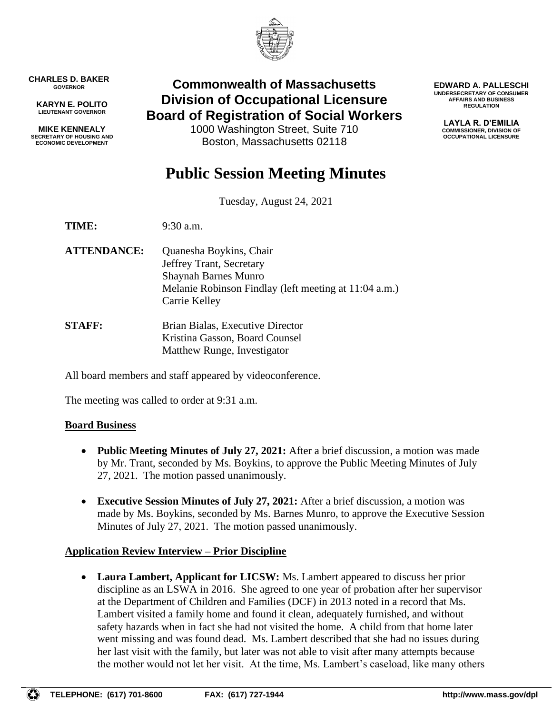

**CHARLES D. BAKER GOVERNOR**

**KARYN E. POLITO LIEUTENANT GOVERNOR**

**MIKE KENNEALY SECRETARY OF HOUSING AND ECONOMIC DEVELOPMENT**

# **Commonwealth of Massachusetts Division of Occupational Licensure Board of Registration of Social Workers**

1000 Washington Street, Suite 710 Boston, Massachusetts 02118

**EDWARD A. PALLESCHI UNDERSECRETARY OF CONSUMER AFFAIRS AND BUSINESS REGULATION**

> **LAYLA R. D'EMILIA COMMISSIONER, DIVISION OF OCCUPATIONAL LICENSURE**

# **Public Session Meeting Minutes**

Tuesday, August 24, 2021

**TIME:** 9:30 a.m.

- **ATTENDANCE:** Quanesha Boykins, Chair Jeffrey Trant, Secretary Shaynah Barnes Munro Melanie Robinson Findlay (left meeting at 11:04 a.m.) Carrie Kelley
- **STAFF:** Brian Bialas, Executive Director Kristina Gasson, Board Counsel Matthew Runge, Investigator

All board members and staff appeared by videoconference.

The meeting was called to order at 9:31 a.m.

### **Board Business**

- **Public Meeting Minutes of July 27, 2021:** After a brief discussion, a motion was made by Mr. Trant, seconded by Ms. Boykins, to approve the Public Meeting Minutes of July 27, 2021. The motion passed unanimously.
- **Executive Session Minutes of July 27, 2021:** After a brief discussion, a motion was made by Ms. Boykins, seconded by Ms. Barnes Munro, to approve the Executive Session Minutes of July 27, 2021. The motion passed unanimously.

# **Application Review Interview – Prior Discipline**

• **Laura Lambert, Applicant for LICSW:** Ms. Lambert appeared to discuss her prior discipline as an LSWA in 2016. She agreed to one year of probation after her supervisor at the Department of Children and Families (DCF) in 2013 noted in a record that Ms. Lambert visited a family home and found it clean, adequately furnished, and without safety hazards when in fact she had not visited the home. A child from that home later went missing and was found dead. Ms. Lambert described that she had no issues during her last visit with the family, but later was not able to visit after many attempts because the mother would not let her visit. At the time, Ms. Lambert's caseload, like many others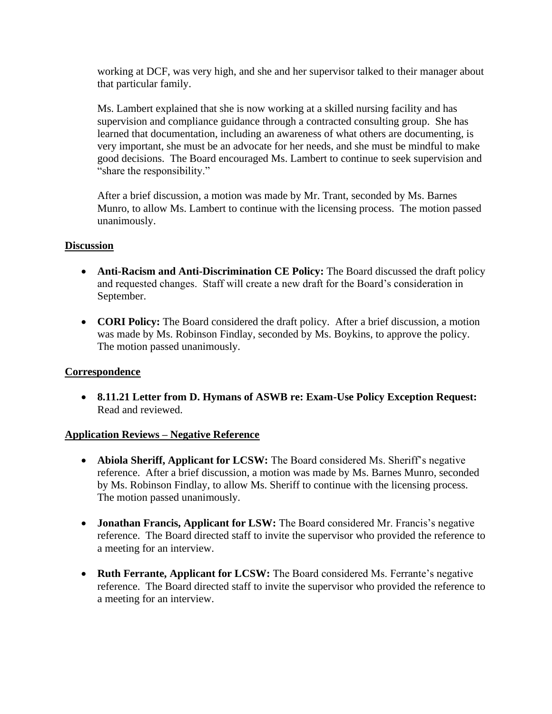working at DCF, was very high, and she and her supervisor talked to their manager about that particular family.

Ms. Lambert explained that she is now working at a skilled nursing facility and has supervision and compliance guidance through a contracted consulting group. She has learned that documentation, including an awareness of what others are documenting, is very important, she must be an advocate for her needs, and she must be mindful to make good decisions. The Board encouraged Ms. Lambert to continue to seek supervision and "share the responsibility."

After a brief discussion, a motion was made by Mr. Trant, seconded by Ms. Barnes Munro, to allow Ms. Lambert to continue with the licensing process. The motion passed unanimously.

#### **Discussion**

- **Anti-Racism and Anti-Discrimination CE Policy:** The Board discussed the draft policy and requested changes. Staff will create a new draft for the Board's consideration in September.
- **CORI Policy:** The Board considered the draft policy. After a brief discussion, a motion was made by Ms. Robinson Findlay, seconded by Ms. Boykins, to approve the policy. The motion passed unanimously.

### **Correspondence**

• **8.11.21 Letter from D. Hymans of ASWB re: Exam-Use Policy Exception Request:** Read and reviewed.

### **Application Reviews – Negative Reference**

- **Abiola Sheriff, Applicant for LCSW:** The Board considered Ms. Sheriff's negative reference. After a brief discussion, a motion was made by Ms. Barnes Munro, seconded by Ms. Robinson Findlay, to allow Ms. Sheriff to continue with the licensing process. The motion passed unanimously.
- **Jonathan Francis, Applicant for LSW:** The Board considered Mr. Francis's negative reference. The Board directed staff to invite the supervisor who provided the reference to a meeting for an interview.
- **Ruth Ferrante, Applicant for LCSW:** The Board considered Ms. Ferrante's negative reference. The Board directed staff to invite the supervisor who provided the reference to a meeting for an interview.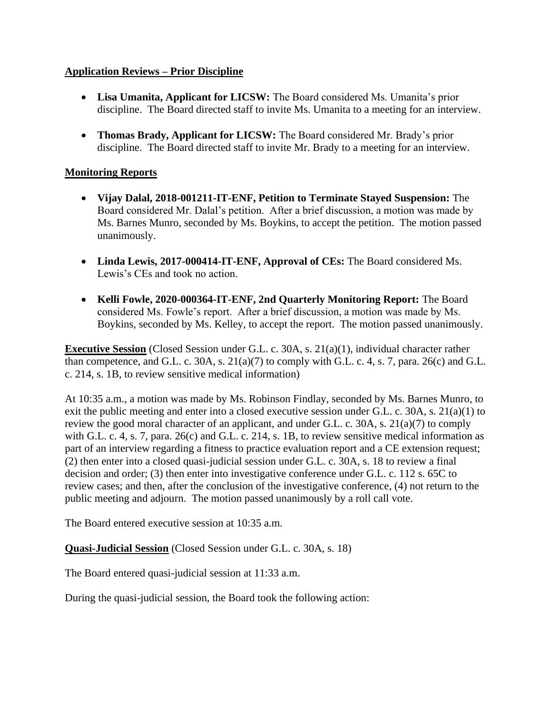# **Application Reviews – Prior Discipline**

- **Lisa Umanita, Applicant for LICSW:** The Board considered Ms. Umanita's prior discipline. The Board directed staff to invite Ms. Umanita to a meeting for an interview.
- **Thomas Brady, Applicant for LICSW:** The Board considered Mr. Brady's prior discipline. The Board directed staff to invite Mr. Brady to a meeting for an interview.

# **Monitoring Reports**

- **Vijay Dalal, 2018-001211-IT-ENF, Petition to Terminate Stayed Suspension:** The Board considered Mr. Dalal's petition. After a brief discussion, a motion was made by Ms. Barnes Munro, seconded by Ms. Boykins, to accept the petition. The motion passed unanimously.
- **Linda Lewis, 2017-000414-IT-ENF, Approval of CEs:** The Board considered Ms. Lewis's CEs and took no action.
- **Kelli Fowle, 2020-000364-IT-ENF, 2nd Quarterly Monitoring Report:** The Board considered Ms. Fowle's report. After a brief discussion, a motion was made by Ms. Boykins, seconded by Ms. Kelley, to accept the report. The motion passed unanimously.

**Executive Session** (Closed Session under G.L. c. 30A, s. 21(a)(1), individual character rather than competence, and G.L. c. 30A, s. 21(a)(7) to comply with G.L. c. 4, s. 7, para. 26(c) and G.L. c. 214, s. 1B, to review sensitive medical information)

At 10:35 a.m., a motion was made by Ms. Robinson Findlay, seconded by Ms. Barnes Munro, to exit the public meeting and enter into a closed executive session under G.L. c. 30A, s. 21(a)(1) to review the good moral character of an applicant, and under G.L. c. 30A, s. 21(a)(7) to comply with G.L. c. 4, s. 7, para. 26(c) and G.L. c. 214, s. 1B, to review sensitive medical information as part of an interview regarding a fitness to practice evaluation report and a CE extension request; (2) then enter into a closed quasi-judicial session under G.L. c. 30A, s. 18 to review a final decision and order; (3) then enter into investigative conference under G.L. c. 112 s. 65C to review cases; and then, after the conclusion of the investigative conference, (4) not return to the public meeting and adjourn. The motion passed unanimously by a roll call vote.

The Board entered executive session at 10:35 a.m.

**Quasi-Judicial Session** (Closed Session under G.L. c. 30A, s. 18)

The Board entered quasi-judicial session at 11:33 a.m.

During the quasi-judicial session, the Board took the following action: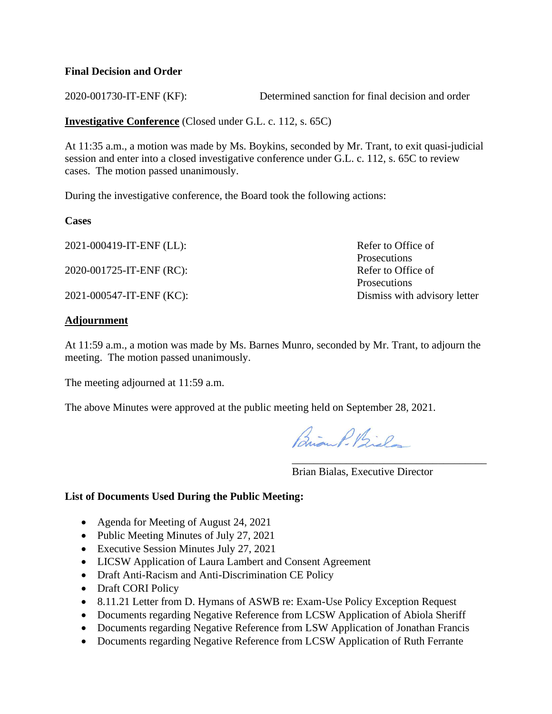#### **Final Decision and Order**

2020-001730-IT-ENF (KF): Determined sanction for final decision and order

**Investigative Conference** (Closed under G.L. c. 112, s. 65C)

At 11:35 a.m., a motion was made by Ms. Boykins, seconded by Mr. Trant, to exit quasi-judicial session and enter into a closed investigative conference under G.L. c. 112, s. 65C to review cases. The motion passed unanimously.

During the investigative conference, the Board took the following actions:

**Cases**

2021-000419-IT-ENF (LL): Refer to Office of

2020-001725-IT-ENF (RC): Refer to Office of

2021-000547-IT-ENF (KC): Dismiss with advisory letter

#### **Adjournment**

At 11:59 a.m., a motion was made by Ms. Barnes Munro, seconded by Mr. Trant, to adjourn the meeting. The motion passed unanimously.

The meeting adjourned at 11:59 a.m.

The above Minutes were approved at the public meeting held on September 28, 2021.

Brian P. Biel

Brian Bialas, Executive Director

\_\_\_\_\_\_\_\_\_\_\_\_\_\_\_\_\_\_\_\_\_\_\_\_\_\_\_\_\_\_\_\_\_\_\_\_

Prosecutions

**Prosecutions** 

#### **List of Documents Used During the Public Meeting:**

- Agenda for Meeting of August 24, 2021
- Public Meeting Minutes of July 27, 2021
- Executive Session Minutes July 27, 2021
- LICSW Application of Laura Lambert and Consent Agreement
- Draft Anti-Racism and Anti-Discrimination CE Policy
- Draft CORI Policy
- 8.11.21 Letter from D. Hymans of ASWB re: Exam-Use Policy Exception Request
- Documents regarding Negative Reference from LCSW Application of Abiola Sheriff
- Documents regarding Negative Reference from LSW Application of Jonathan Francis
- Documents regarding Negative Reference from LCSW Application of Ruth Ferrante